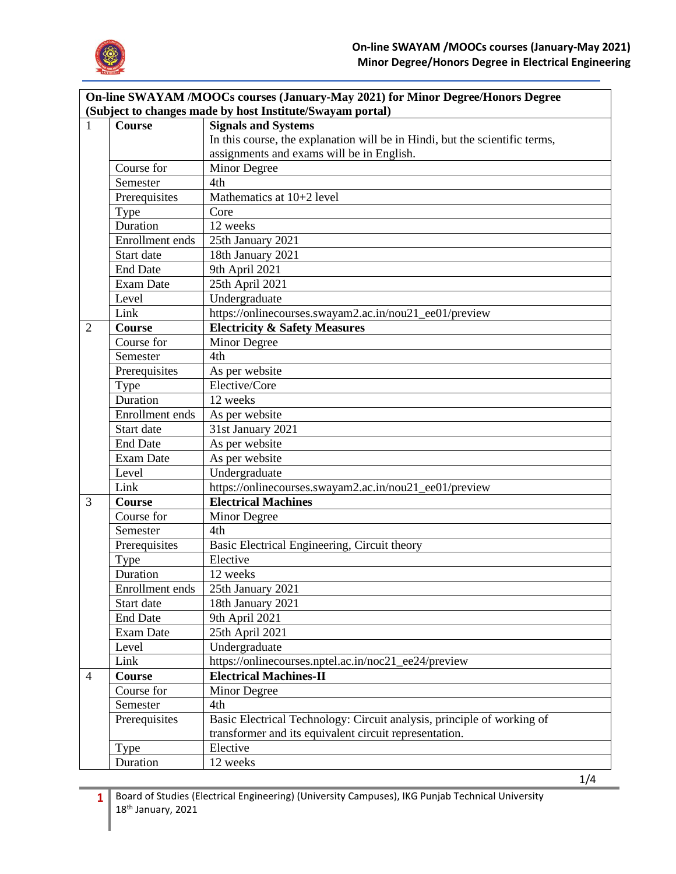

|                | On-line SWAYAM /MOOCs courses (January-May 2021) for Minor Degree/Honors Degree<br>(Subject to changes made by host Institute/Swayam portal) |                                                                             |  |  |  |  |
|----------------|----------------------------------------------------------------------------------------------------------------------------------------------|-----------------------------------------------------------------------------|--|--|--|--|
| 1              | <b>Course</b>                                                                                                                                | <b>Signals and Systems</b>                                                  |  |  |  |  |
|                |                                                                                                                                              | In this course, the explanation will be in Hindi, but the scientific terms, |  |  |  |  |
|                |                                                                                                                                              | assignments and exams will be in English.                                   |  |  |  |  |
|                | Course for                                                                                                                                   | Minor Degree                                                                |  |  |  |  |
|                | Semester                                                                                                                                     | 4th                                                                         |  |  |  |  |
|                | Prerequisites                                                                                                                                | Mathematics at 10+2 level                                                   |  |  |  |  |
|                | Type                                                                                                                                         | Core                                                                        |  |  |  |  |
|                | Duration                                                                                                                                     | 12 weeks                                                                    |  |  |  |  |
|                | Enrollment ends                                                                                                                              | 25th January 2021                                                           |  |  |  |  |
|                | Start date                                                                                                                                   | 18th January 2021                                                           |  |  |  |  |
|                | <b>End Date</b>                                                                                                                              | 9th April 2021                                                              |  |  |  |  |
|                | Exam Date                                                                                                                                    | 25th April 2021                                                             |  |  |  |  |
|                | Level                                                                                                                                        | Undergraduate                                                               |  |  |  |  |
|                | Link                                                                                                                                         | https://onlinecourses.swayam2.ac.in/nou21_ee01/preview                      |  |  |  |  |
| $\overline{2}$ | Course                                                                                                                                       | <b>Electricity &amp; Safety Measures</b>                                    |  |  |  |  |
|                | Course for                                                                                                                                   | Minor Degree                                                                |  |  |  |  |
|                | Semester                                                                                                                                     | 4th                                                                         |  |  |  |  |
|                | Prerequisites                                                                                                                                | As per website                                                              |  |  |  |  |
|                | Type                                                                                                                                         | Elective/Core                                                               |  |  |  |  |
|                | Duration                                                                                                                                     | 12 weeks                                                                    |  |  |  |  |
|                | Enrollment ends                                                                                                                              | As per website                                                              |  |  |  |  |
|                | Start date                                                                                                                                   | 31st January 2021                                                           |  |  |  |  |
|                | <b>End Date</b>                                                                                                                              | As per website                                                              |  |  |  |  |
|                | Exam Date                                                                                                                                    | As per website                                                              |  |  |  |  |
|                | Level                                                                                                                                        | Undergraduate                                                               |  |  |  |  |
|                | Link                                                                                                                                         | https://onlinecourses.swayam2.ac.in/nou21_ee01/preview                      |  |  |  |  |
| 3              | Course                                                                                                                                       | <b>Electrical Machines</b>                                                  |  |  |  |  |
|                | Course for                                                                                                                                   | Minor Degree                                                                |  |  |  |  |
|                | Semester                                                                                                                                     | 4th                                                                         |  |  |  |  |
|                | Prerequisites                                                                                                                                | Basic Electrical Engineering, Circuit theory                                |  |  |  |  |
|                | Type                                                                                                                                         | Elective                                                                    |  |  |  |  |
|                | Duration                                                                                                                                     | 12 weeks                                                                    |  |  |  |  |
|                | Enrollment ends                                                                                                                              | 25th January 2021                                                           |  |  |  |  |
|                | Start date                                                                                                                                   | 18th January 2021                                                           |  |  |  |  |
|                | <b>End Date</b>                                                                                                                              | 9th April 2021                                                              |  |  |  |  |
|                | Exam Date                                                                                                                                    | 25th April 2021                                                             |  |  |  |  |
|                | Level                                                                                                                                        | Undergraduate                                                               |  |  |  |  |
|                | Link                                                                                                                                         | https://onlinecourses.nptel.ac.in/noc21_ee24/preview                        |  |  |  |  |
| $\overline{4}$ | <b>Course</b>                                                                                                                                | <b>Electrical Machines-II</b>                                               |  |  |  |  |
|                | Course for                                                                                                                                   | Minor Degree                                                                |  |  |  |  |
|                | Semester                                                                                                                                     | 4th                                                                         |  |  |  |  |
|                | Prerequisites                                                                                                                                | Basic Electrical Technology: Circuit analysis, principle of working of      |  |  |  |  |
|                |                                                                                                                                              | transformer and its equivalent circuit representation.                      |  |  |  |  |
|                | <b>Type</b>                                                                                                                                  | Elective                                                                    |  |  |  |  |
|                | Duration                                                                                                                                     | 12 weeks                                                                    |  |  |  |  |

1/4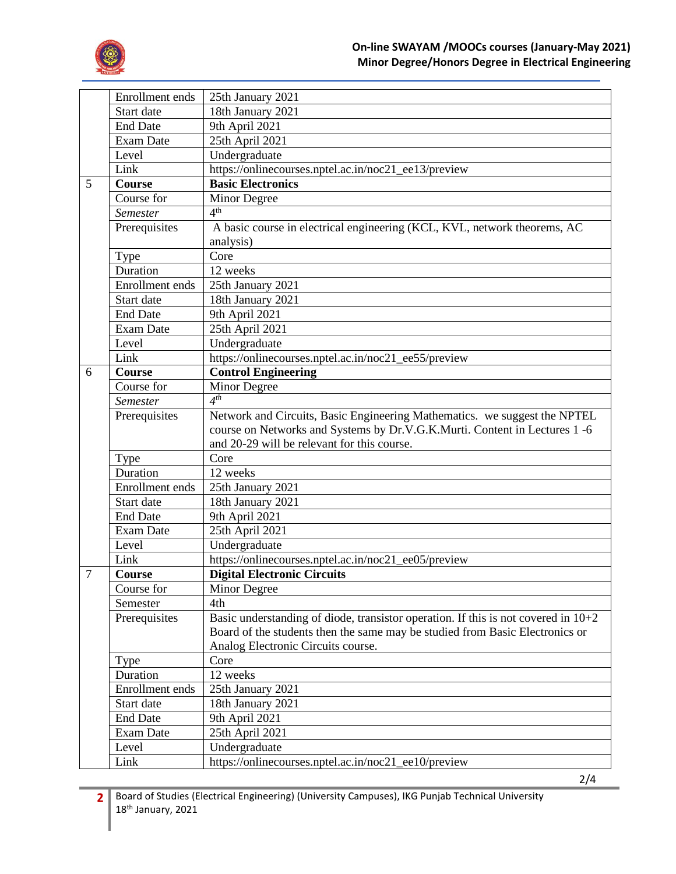

| Enrollment ends<br>25th January 2021                                                                  |  |
|-------------------------------------------------------------------------------------------------------|--|
| 18th January 2021<br>Start date                                                                       |  |
| 9th April 2021<br><b>End Date</b>                                                                     |  |
| 25th April 2021<br><b>Exam Date</b>                                                                   |  |
| Undergraduate<br>Level                                                                                |  |
| Link<br>https://onlinecourses.nptel.ac.in/noc21_ee13/preview                                          |  |
| <b>Basic Electronics</b><br>5<br>Course                                                               |  |
| Course for<br>Minor Degree                                                                            |  |
| 4 <sup>th</sup><br><b>Semester</b>                                                                    |  |
| A basic course in electrical engineering (KCL, KVL, network theorems, AC<br>Prerequisites             |  |
| analysis)                                                                                             |  |
| Core<br>Type                                                                                          |  |
| Duration<br>12 weeks                                                                                  |  |
| Enrollment ends<br>25th January 2021                                                                  |  |
| Start date<br>18th January 2021                                                                       |  |
| <b>End Date</b><br>9th April 2021                                                                     |  |
| 25th April 2021<br><b>Exam Date</b>                                                                   |  |
| Undergraduate<br>Level                                                                                |  |
| Link<br>https://onlinecourses.nptel.ac.in/noc21_ee55/preview                                          |  |
| <b>Control Engineering</b><br>Course<br>6                                                             |  |
| Course for<br>Minor Degree                                                                            |  |
| $4^{th}$<br>Semester                                                                                  |  |
| Network and Circuits, Basic Engineering Mathematics. we suggest the NPTEL<br>Prerequisites            |  |
| course on Networks and Systems by Dr.V.G.K.Murti. Content in Lectures 1 -6                            |  |
| and 20-29 will be relevant for this course.                                                           |  |
| Core<br>Type                                                                                          |  |
| Duration<br>12 weeks                                                                                  |  |
| Enrollment ends<br>25th January 2021                                                                  |  |
| 18th January 2021<br>Start date                                                                       |  |
| 9th April 2021<br><b>End Date</b>                                                                     |  |
| 25th April 2021<br><b>Exam Date</b>                                                                   |  |
| Undergraduate<br>Level                                                                                |  |
| Link<br>https://onlinecourses.nptel.ac.in/noc21_ee05/preview                                          |  |
| $\overline{7}$<br><b>Digital Electronic Circuits</b><br>Course                                        |  |
| Course for<br>Minor Degree                                                                            |  |
| 4th<br>Semester                                                                                       |  |
| Prerequisites<br>Basic understanding of diode, transistor operation. If this is not covered in $10+2$ |  |
| Board of the students then the same may be studied from Basic Electronics or                          |  |
| Analog Electronic Circuits course.                                                                    |  |
| Core<br>Type                                                                                          |  |
| Duration<br>12 weeks                                                                                  |  |
| Enrollment ends<br>25th January 2021                                                                  |  |
| Start date<br>18th January 2021                                                                       |  |
| <b>End Date</b><br>9th April 2021                                                                     |  |
|                                                                                                       |  |
|                                                                                                       |  |
| Exam Date<br>25th April 2021<br>Undergraduate<br>Level                                                |  |

2/4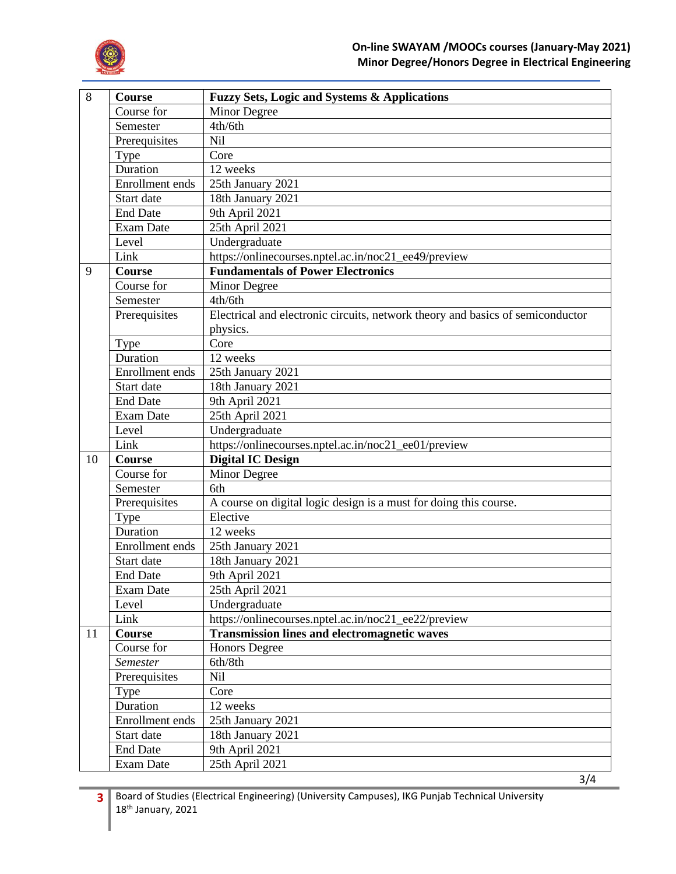

| 8  | Course                 | Fuzzy Sets, Logic and Systems & Applications                                   |
|----|------------------------|--------------------------------------------------------------------------------|
|    | Course for             | Minor Degree                                                                   |
|    | Semester               | 4th/6th                                                                        |
|    | Prerequisites          | Nil                                                                            |
|    | Type                   | Core                                                                           |
|    | Duration               | 12 weeks                                                                       |
|    | Enrollment ends        | 25th January 2021                                                              |
|    | Start date             | 18th January 2021                                                              |
|    | <b>End Date</b>        | 9th April 2021                                                                 |
|    | <b>Exam Date</b>       | 25th April 2021                                                                |
|    | Level                  | Undergraduate                                                                  |
|    | Link                   | https://onlinecourses.nptel.ac.in/noc21_ee49/preview                           |
| 9  | Course                 | <b>Fundamentals of Power Electronics</b>                                       |
|    | Course for             | Minor Degree                                                                   |
|    | Semester               | 4th/6th                                                                        |
|    | Prerequisites          | Electrical and electronic circuits, network theory and basics of semiconductor |
|    |                        | physics.                                                                       |
|    | Type                   | Core                                                                           |
|    | Duration               | 12 weeks                                                                       |
|    | <b>Enrollment</b> ends | 25th January 2021                                                              |
|    | Start date             | 18th January 2021                                                              |
|    | <b>End Date</b>        | 9th April 2021                                                                 |
|    | <b>Exam Date</b>       | 25th April 2021                                                                |
|    | Level                  | Undergraduate                                                                  |
|    | Link                   | https://onlinecourses.nptel.ac.in/noc21_ee01/preview                           |
| 10 | <b>Course</b>          | <b>Digital IC Design</b>                                                       |
|    | Course for             | Minor Degree                                                                   |
|    | Semester               | 6th                                                                            |
|    | Prerequisites          | A course on digital logic design is a must for doing this course.              |
|    | Type                   | Elective                                                                       |
|    | Duration               | 12 weeks                                                                       |
|    | <b>Enrollment</b> ends | 25th January 2021                                                              |
|    | Start date             | 18th January 2021                                                              |
|    | <b>End Date</b>        | 9th April 2021                                                                 |
|    | Exam Date              | 25th April 2021                                                                |
|    | Level                  | Undergraduate                                                                  |
|    | Link                   | https://onlinecourses.nptel.ac.in/noc21_ee22/preview                           |
| 11 | <b>Course</b>          | <b>Transmission lines and electromagnetic waves</b>                            |
|    | Course for             | <b>Honors Degree</b>                                                           |
|    | Semester               | 6th/8th                                                                        |
|    | Prerequisites          | <b>Nil</b>                                                                     |
|    | Type                   | Core                                                                           |
|    | Duration               | 12 weeks                                                                       |
|    | Enrollment ends        | 25th January 2021                                                              |
|    | Start date             | 18th January 2021                                                              |
|    | <b>End Date</b>        | 9th April 2021                                                                 |
|    | Exam Date              | 25th April 2021                                                                |
|    |                        | 3/4                                                                            |

**3** Board of Studies (Electrical Engineering) (University Campuses), IKG Punjab Technical University 18th January, 2021